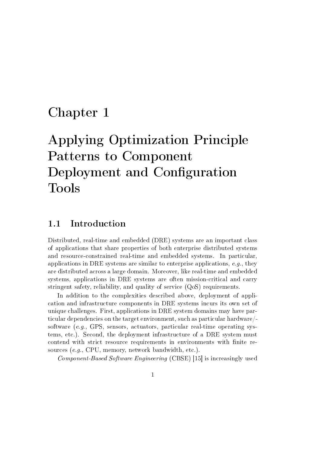# Chapter 1

# Applying Optimization Principle Patterns to Component Deployment and Configuration Tools

## 1.1 Introduction

Distributed, real-time and embedded (DRE) systems are an important class of applications that share properties of both enterprise distributed systems and resource-constrained real-time and embedded systems. In particular, applications in DRE systems are similar to enterprise applications,  $e.g.,$  they are distributed across a large domain. Moreover, like real-time and embedded systems, applications in DRE systems are often mission-critical and carry stringent safety, reliability, and quality of service (QoS) requirements.

In addition to the complexities described above, deployment of application and infrastructure components in DRE systems incurs its own set of unique challenges. First, applications in DRE system domains may have particular dependencies on the target environment, such as particular hardware/ software  $(e, a, GPS,$  sensors, actuators, particular real-time operating systems, etc.). Second, the deployment infrastructure of a DRE system must contend with strict resource requirements in environments with finite resources (e.g., CPU, memory, network bandwidth, etc.).

Component-Based Software Engineering (CBSE) [15] is increasingly used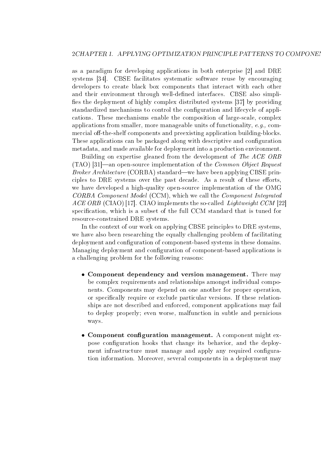as a paradigm for developing applications in both enterprise [2] and DRE systems [34]. CBSE facilitates systematic software reuse by encouraging developers to create black box components that interact with each other and their environment through well-defined interfaces. CBSE also simplifies the deployment of highly complex distributed systems [37] by providing standardized mechanisms to control the configuration and lifecycle of applications. These mechanisms enable the composition of large-scale, complex applications from smaller, more manageable units of functionality, e.g., commercial off-the-shelf components and preexisting application building-blocks. These applications can be packaged along with descriptive and configuration metadata, and made available for deployment into a production environment.

Building on expertise gleaned from the development of The ACE ORB  $(TAO)$  [31]—an open-source implementation of the *Common Object Request* Broker Architecture (CORBA) standard—we have been applying CBSE principles to DRE systems over the past decade. As a result of these efforts, we have developed a high-quality open-source implementation of the OMG CORBA Component Model (CCM), which we call the Component Integrated ACE ORB (CIAO) [17]. CIAO implements the so-called Lightweight CCM [22] specification, which is a subset of the full CCM standard that is tuned for resource-constrained DRE systems.

In the context of our work on applying CBSE principles to DRE systems, we have also been researching the equally challenging problem of facilitating deployment and configuration of component-based systems in these domains. Managing deployment and configuration of component-based applications is a challenging problem for the following reasons:

- *•* Component dependency and version management. There may be complex requirements and relationships amongst individual components. Components may depend on one another for proper operation, or specifically require or exclude particular versions. If these relationships are not described and enforced, component applications may fail to deploy properly; even worse, malfunction in subtle and pernicious ways.
- Component configuration management. A component might expose configuration hooks that change its behavior, and the deployment infrastructure must manage and apply any required configuration information. Moreover, several components in a deployment may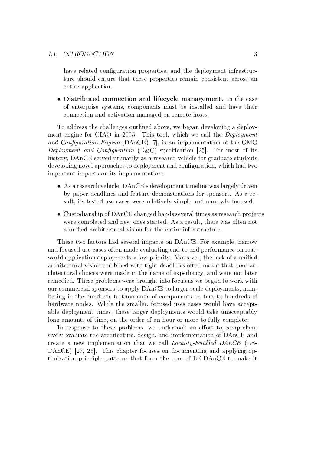#### 1.1. INTRODUCTION 3

have related configuration properties, and the deployment infrastructure should ensure that these properties remain consistent across an entire application.

*•* Distributed connection and lifecycle management. In the case of enterprise systems, components must be installed and have their connection and activation managed on remote hosts.

To address the challenges outlined above, we began developing a deployment engine for CIAO in 2005. This tool, which we call the Deployment and Configuration Engine (DAnCE) [7], is an implementation of the OMG Deployment and Configuration  $(D\&C)$  specification [25]. For most of its history, DAnCE served primarily as a research vehicle for graduate students developing novel approaches to deployment and configuration, which had two important impacts on its implementation:

- As a research vehicle, DAnCE's development timeline was largely driven by paper deadlines and feature demonstrations for sponsors. As a result, its tested use cases were relatively simple and narrowly focused.
- *•* Custodianship of DAnCE changed hands several times as research projects were completed and new ones started. As a result, there was often not a unified architectural vision for the entire infrastructure.

These two factors had several impacts on DAnCE. For example, narrow and focused use-cases often made evaluating end-to-end performance on realworld application deployments a low priority. Moreover, the lack of a unified architectural vision combined with tight deadlines often meant that poor architectural choices were made in the name of expediency, and were not later remedied. These problems were brought into focus as we began to work with our commercial sponsors to apply DAnCE to larger-scale deployments, numbering in the hundreds to thousands of components on tens to hundreds of hardware nodes. While the smaller, focused uses cases would have acceptable deployment times, these larger deployments would take unacceptably long amounts of time, on the order of an hour or more to fully complete.

In response to these problems, we undertook an effort to comprehensively evaluate the architecture, design, and implementation of DAnCE and create a new implementation that we call Locality-Enabled DAnCE (LE-DAnCE) [27, 26]. This chapter focuses on documenting and applying optimization principle patterns that form the core of LE-DAnCE to make it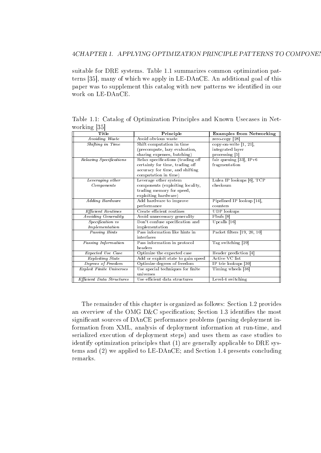suitable for DRE systems. Table 1.1 summarizes common optimization patterns [35], many of which we apply in LE-DAnCE. An additional goal of this paper was to supplement this catalog with new patterns we identified in our work on LE-DAnCE.

| Title                     | Principle                          | <b>Examples from Networking</b> |
|---------------------------|------------------------------------|---------------------------------|
| Avoiding Waste            | Avoid obvious waste                | zero-copy $[28]$                |
| Shifting in Time          | Shift computation in time          | $copy-on-write [1, 21],$        |
|                           | (precompute, lazy evaluation,      | integrated layer                |
|                           | sharing expenses, batching)        | processing [5]                  |
| Relaxing Specifications   | Relax specifications (trading off  | fair queuing $[33]$ , IPv6      |
|                           | certainty for time, trading off    | fragmentation                   |
|                           | accuracy for time, and shifting    |                                 |
|                           | computation in time)               |                                 |
| Leveraging other          | Leverage other system              | Lulea IP lookups [6], TCP       |
| Components                | components (exploiting locality,   | checksum                        |
|                           | trading memory for speed,          |                                 |
|                           | exploiting hardware)               |                                 |
| Adding Hardware           | Add hardware to improve            | Pipelined IP lookup [14],       |
|                           | performance                        | counters                        |
| <b>Efficient Routines</b> | Create efficient routines          | <b>UDP</b> lookups              |
| Avoiding Generality       | Avoid unnecessary generality       | Fbufs [8]                       |
| $Specification$ vs        | Don't confuse specification and    | Upcalls $[16]$                  |
| Implementation            | implementation                     |                                 |
| Passing Hints             | Pass information like hints in     | Packet filters [19, 20, 10]     |
|                           | interfaces                         |                                 |
| Passing Information       | Pass information in protocol       | Tag switching [29]              |
|                           | headers                            |                                 |
| Expected Use Case         | Optimize the expected case         | Header prediction [4]           |
| Exploiting State          | Add or exploit state to gain speed | Active VC list                  |
| Degrees of Freedom        | Optimize degrees of freedom        | IP trie lookups [30]            |
| Exploit Finite Universes  | Use special techniques for finite  | Timing wheels [36]              |
|                           | universes                          |                                 |
| Efficient Data Structures | Use efficient data structures      | Level-4 switching               |

Table 1.1: Catalog of Optimization Principles and Known Usecases in Networking [35]

The remainder of this chapter is organized as follows: Section 1.2 provides an overview of the OMG D&C specification; Section 1.3 identifies the most significant sources of DAnCE performance problems (parsing deployment information from XML, analysis of deployment information at run-time, and serialized execution of deployment steps) and uses them as case studies to identify optimization principles that (1) are generally applicable to DRE systems and (2) we applied to LE-DAnCE; and Section 1.4 presents concluding remarks.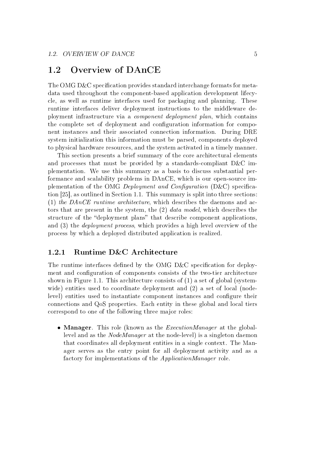## 1.2 Overview of DAnCE

The OMG D&C specification provides standard interchange formats for metadata used throughout the component-based application development lifecycle, as well as runtime interfaces used for packaging and planning. These runtime interfaces deliver deployment instructions to the middleware deployment infrastructure via a component deployment plan, which contains the complete set of deployment and configuration information for component instances and their associated connection information. During DRE system initialization this information must be parsed, components deployed to physical hardware resources, and the system activated in a timely manner.

This section presents a brief summary of the core architectural elements and processes that must be provided by a standards-compliant D&C implementation. We use this summary as a basis to discuss substantial performance and scalability problems in DAnCE, which is our open-source implementation of the OMG *Deployment and Configuration*  $(D&C)$  specification [25], as outlined in Section 1.1. This summary is split into three sections: (1) the DAnCE runtime architecture, which describes the daemons and actors that are present in the system, the (2) data model, which describes the structure of the "deployment plans" that describe component applications. and (3) the *deployment process*, which provides a high level overview of the process by which a deployed distributed application is realized.

## 1.2.1 Runtime D&C Architecture

The runtime interfaces defined by the OMG D&C specification for deployment and configuration of components consists of the two-tier architecture shown in Figure 1.1. This architecture consists of  $(1)$  a set of global (systemwide) entities used to coordinate deployment and  $(2)$  a set of local (nodelevel) entities used to instantiate component instances and configure their connections and QoS properties. Each entity in these global and local tiers correspond to one of the following three major roles:

• Manager. This role (known as the *ExecutionManager* at the globallevel and as the NodeManager at the node-level) is a singleton daemon that coordinates all deployment entities in a single context. The Manager serves as the entry point for all deployment activity and as a factory for implementations of the ApplicationManager role.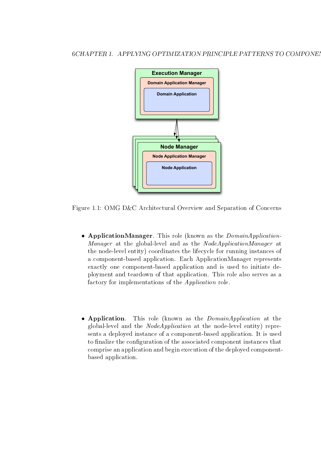

Figure 1.1: OMG D&C Architectural Overview and Separation of Concerns

- *•* ApplicationManager. This role (known as the DomainApplication-Manager at the global-level and as the NodeApplicationManager at the node-level entity) coordinates the lifecycle for running instances of a component-based application. Each ApplicationManager represents exactly one component-based application and is used to initiate deployment and teardown of that application. This role also serves as a factory for implementations of the Application role.
- **Application**. This role (known as the *DomainApplication* at the global-level and the NodeApplication at the node-level entity) represents a deployed instance of a component-based application. It is used to finalize the configuration of the associated component instances that comprise an application and begin execution of the deployed componentbased application.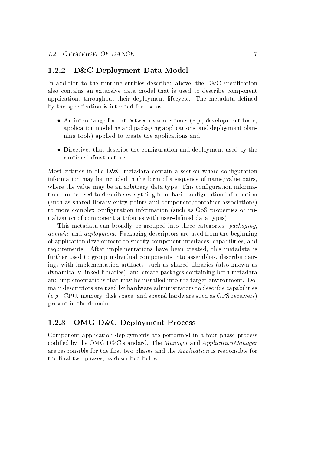## 1.2.2 D&C Deployment Data Model

In addition to the runtime entities described above, the  $D&C$  specification also contains an extensive data model that is used to describe component applications throughout their deployment lifecycle. The metadata defined by the specification is intended for use as

- An interchange format between various tools (e.g., development tools, application modeling and packaging applications, and deployment planning tools) applied to create the applications and
- Directives that describe the configuration and deployment used by the runtime infrastructure.

Most entities in the  $D&C$  metadata contain a section where configuration information may be included in the form of a sequence of name/value pairs, where the value may be an arbitrary data type. This configuration information can be used to describe everything from basic configuration information (such as shared library entry points and component/container associations) to more complex configuration information (such as  $\cos$  properties or intialization of component attributes with user-defined data types).

This metadata can broadly be grouped into three categories: packaging, domain, and deployment. Packaging descriptors are used from the beginning of application development to specify component interfaces, capabilities, and requirements. After implementations have been created, this metadata is further used to group individual components into assemblies, describe pairings with implementation artifacts, such as shared libraries (also known as dynamically linked libraries), and create packages containing both metadata and implementations that may be installed into the target environment. Domain descriptors are used by hardware administrators to describe capabilities  $(e,q, \text{CPU}, \text{memory}, \text{disk space}, \text{and special hardware such as GPS receivers})$ present in the domain.

## 1.2.3 OMG D&C Deployment Process

Component application deployments are performed in a four phase process codified by the OMG D&C standard. The Manager and ApplicationManager are responsible for the first two phases and the *Application* is responsible for the final two phases, as described below: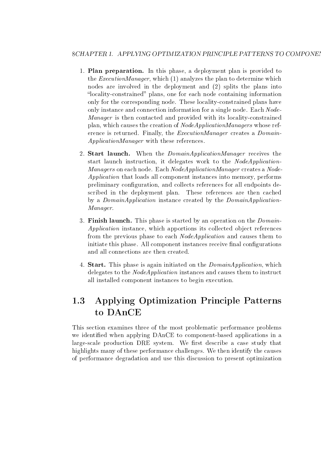- 1. Plan preparation. In this phase, a deployment plan is provided to the ExecutionManager, which (1) analyzes the plan to determine which nodes are involved in the deployment and (2) splits the plans into "locality-constrained" plans, one for each node containing information only for the corresponding node. These locality-constrained plans have only instance and connection information for a single node. Each Node-Manager is then contacted and provided with its locality-constrained plan, which causes the creation of NodeApplicationManagers whose reference is returned. Finally, the ExecutionManager creates a Domain-ApplicationManager with these references.
- 2. Start launch. When the *DomainApplicationManager* receives the start launch instruction, it delegates work to the NodeApplication-Managers on each node. Each NodeApplicationManager creates a Node-Application that loads all component instances into memory, performs preliminary configuration, and collects references for all endpoints described in the deployment plan. These references are then cached by a DomainApplication instance created by the DomainApplication-Manager.
- 3. Finish launch. This phase is started by an operation on the *Domain*-Application instance, which apportions its collected object references from the previous phase to each NodeApplication and causes them to initiate this phase. All component instances receive final configurations and all connections are then created.
- 4. Start. This phase is again initiated on the DomainApplication, which delegates to the NodeApplication instances and causes them to instruct all installed component instances to begin execution.

# 1.3 Applying Optimization Principle Patterns to DAnCE

This section examines three of the most problematic performance problems we identified when applying DAnCE to component-based applications in a large-scale production DRE system. We first describe a case study that highlights many of these performance challenges. We then identify the causes of performance degradation and use this discussion to present optimization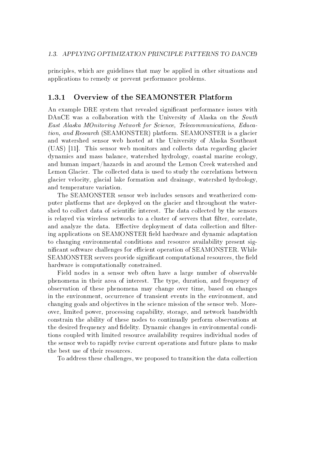principles, which are guidelines that may be applied in other situations and applications to remedy or prevent performance problems.

## 1.3.1 Overview of the SEAMONSTER Platform

An example DRE system that revealed significant performance issues with DAnCE was a collaboration with the University of Alaska on the South East Alaska MOnitoring Network for Science, Telecommunications, Education, and Research (SEAMONSTER) platform. SEAMONSTER is a glacier and watershed sensor web hosted at the University of Alaska Southeast (UAS) [11]. This sensor web monitors and collects data regarding glacier dynamics and mass balance, watershed hydrology, coastal marine ecology, and human impact/hazards in and around the Lemon Creek watershed and Lemon Glacier. The collected data is used to study the correlations between glacier velocity, glacial lake formation and drainage, watershed hydrology, and temperature variation.

The SEAMONSTER sensor web includes sensors and weatherized computer platforms that are deployed on the glacier and throughout the watershed to collect data of scientific interest. The data collected by the sensors is relayed via wireless networks to a cluster of servers that filter, correlate, and analyze the data. Effective deployment of data collection and filtering applications on SEAMONSTER field hardware and dynamic adaptation to changing environmental conditions and resource availability present significant software challenges for efficient operation of SEAMONSTER. While SEAMONSTER servers provide significant computational resources, the field hardware is computationally constrained.

Field nodes in a sensor web often have a large number of observable phenomena in their area of interest. The type, duration, and frequency of observation of these phenomena may change over time, based on changes in the environment, occurrence of transient events in the environment, and changing goals and objectives in the science mission of the sensor web. Moreover, limited power, processing capability, storage, and network bandwidth constrain the ability of these nodes to continually perform observations at the desired frequency and fidelity. Dynamic changes in environmental conditions coupled with limited resource availability requires individual nodes of the sensor web to rapidly revise current operations and future plans to make the best use of their resources.

To address these challenges, we proposed to transition the data collection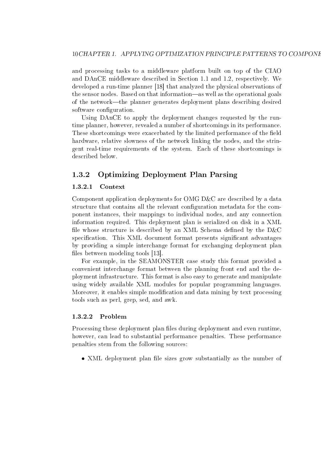and processing tasks to a middleware platform built on top of the CIAO and DAnCE middleware described in Section 1.1 and 1.2, respectively. We developed a run-time planner [18] that analyzed the physical observations of the sensor nodes. Based on that information—as well as the operational goals of the network—the planner generates deployment plans describing desired software configuration.

Using DAnCE to apply the deployment changes requested by the runtime planner, however, revealed a number of shortcomings in its performance. These shortcomings were exacerbated by the limited performance of the field hardware, relative slowness of the network linking the nodes, and the stringent real-time requirements of the system. Each of these shortcomings is described below.

## 1.3.2 Optimizing Deployment Plan Parsing

## 1.3.2.1 Context

Component application deployments for OMG D&C are described by a data structure that contains all the relevant conguration metadata for the component instances, their mappings to individual nodes, and any connection information required. This deployment plan is serialized on disk in a XML file whose structure is described by an XML Schema defined by the  $D\&C$ specification. This XML document format presents significant advantages by providing a simple interchange format for exchanging deployment plan files between modeling tools [13].

For example, in the SEAMONSTER case study this format provided a convenient interchange format between the planning front end and the deployment infrastructure. This format is also easy to generate and manipulate using widely available XML modules for popular programming languages. Moreover, it enables simple modification and data mining by text processing tools such as perl, grep, sed, and awk.

#### 1.3.2.2 Problem

Processing these deployment plan files during deployment and even runtime, however, can lead to substantial performance penalties. These performance penalties stem from the following sources:

• XML deployment plan file sizes grow substantially as the number of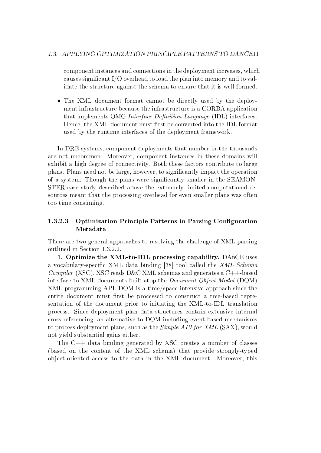component instances and connections in the deployment increases, which causes significant  $I/O$  overhead to load the plan into memory and to validate the structure against the schema to ensure that it is well-formed.

• The XML document format cannot be directly used by the deployment infrastructure because the infrastructure is a CORBA application that implements OMG Interface Definition Language (IDL) interfaces. Hence, the XML document must first be converted into the IDL format used by the runtime interfaces of the deployment framework.

In DRE systems, component deployments that number in the thousands are not uncommon. Moreover, component instances in these domains will exhibit a high degree of connectivity. Both these factors contribute to large plans. Plans need not be large, however, to signicantly impact the operation of a system. Though the plans were signicantly smaller in the SEAMON-STER case study described above the extremely limited computational resources meant that the processing overhead for even smaller plans was often too time consuming.

## 1.3.2.3 Optimization Principle Patterns in Parsing Configuration Metadata

There are two general approaches to resolving the challenge of XML parsing outlined in Section 1.3.2.2.

1. Optimize the XML-to-IDL processing capability. DAnCE uses a vocabulary-specific XML data binding [38] tool called the XML Schema *Compiler* (XSC). XSC reads D&C XML schemas and generates a  $C_{++}$ -based interface to XML documents built atop the Document Object Model (DOM) XML programming API. DOM is a time/space-intensive approach since the entire document must first be processed to construct a tree-based representation of the document prior to initiating the XML-to-IDL translation process. Since deployment plan data structures contain extensive internal cross-referencing, an alternative to DOM including event-based mechanisms to process deployment plans, such as the Simple API for XML (SAX), would not yield substantial gains either.

The C++ data binding generated by XSC creates a number of classes (based on the content of the XML schema) that provide strongly-typed object-oriented access to the data in the XML document. Moreover, this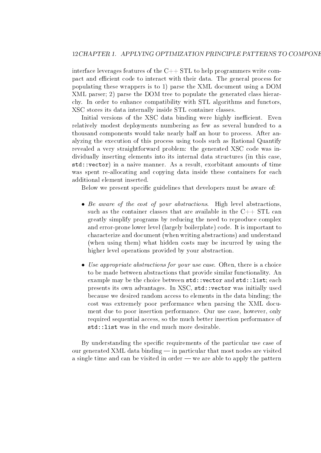interface leverages features of the  $C++$  STL to help programmers write compact and efficient code to interact with their data. The general process for populating these wrappers is to 1) parse the XML document using a DOM XML parser; 2) parse the DOM tree to populate the generated class hierarchy. In order to enhance compatibility with STL algorithms and functors, XSC stores its data internally inside STL container classes.

Initial versions of the XSC data binding were highly inefficient. Even relatively modest deployments numbering as few as several hundred to a thousand components would take nearly half an hour to process. After analyzing the execution of this process using tools such as Rational Quantify revealed a very straightforward problem: the generated XSC code was individually inserting elements into its internal data structures (in this case, std::vector) in a naive manner. As a result, exorbitant amounts of time was spent re-allocating and copying data inside these containers for each additional element inserted.

Below we present specific guidelines that developers must be aware of:

- Be aware of the cost of your abstractions. High level abstractions, such as the container classes that are available in the  $C++$  STL can greatly simplify programs by reducing the need to reproduce complex and error-prone lower level (largely boilerplate) code. It is important to characterize and document (when writing abstractions) and understand (when using them) what hidden costs may be incurred by using the higher level operations provided by your abstraction.
- Use appropriate abstractions for your use case. Often, there is a choice to be made between abstractions that provide similar functionality. An example may be the choice between std::vector and std::list; each presents its own advantages. In XSC, std::vector was initially used because we desired random access to elements in the data binding; the cost was extremely poor performance when parsing the XML document due to poor insertion performance. Our use case, however, only required sequential access, so the much better insertion performance of std::list was in the end much more desirable.

By understanding the specific requirements of the particular use case of our generated XML data binding  $\frac{1}{\sqrt{2}}$  in particular that most nodes are visited a single time and can be visited in order  $-\mathbf{w}$  are able to apply the pattern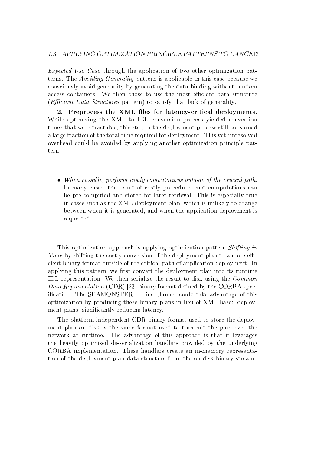### 1.3. APPLYING OPTIMIZATION PRINCIPLE PATTERNS TO DANCE13

Expected Use Case through the application of two other optimization patterns. The Avoiding Generality pattern is applicable in this case because we consciously avoid generality by generating the data binding without random access containers. We then chose to use the most efficient data structure (*Efficient Data Structures* pattern) to satisfy that lack of generality.

2. Preprocess the XML files for latency-critical deployments. While optimizing the XML to IDL conversion process yielded conversion times that were tractable, this step in the deployment process still consumed a large fraction of the total time required for deployment. This yet-unresolved overhead could be avoided by applying another optimization principle pattern:

• When possible, perform costly computations outside of the critical path. In many cases, the result of costly procedures and computations can be pre-computed and stored for later retrieval. This is especially true in cases such as the XML deployment plan, which is unlikely to change between when it is generated, and when the application deployment is requested.

This optimization approach is applying optimization pattern Shifting in Time by shifting the costly conversion of the deployment plan to a more efficient binary format outside of the critical path of application deployment. In applying this pattern, we first convert the deployment plan into its runtime IDL representation. We then serialize the result to disk using the Common Data Representation (CDR) [23] binary format defined by the CORBA specification. The SEAMONSTER on-line planner could take advantage of this optimization by producing these binary plans in lieu of XML-based deployment plans, significantly reducing latency.

The platform-independent CDR binary format used to store the deployment plan on disk is the same format used to transmit the plan over the network at runtime. The advantage of this approach is that it leverages the heavily optimized de-serialization handlers provided by the underlying CORBA implementation. These handlers create an in-memory representation of the deployment plan data structure from the on-disk binary stream.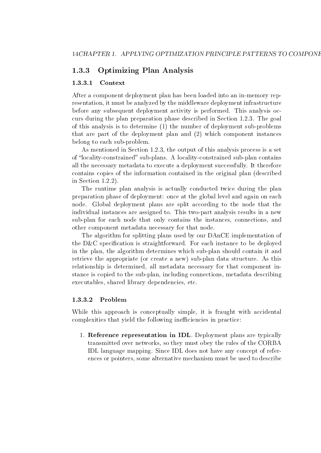## 1.3.3 Optimizing Plan Analysis

#### 1.3.3.1 Context

After a component deployment plan has been loaded into an in-memory representation, it must be analyzed by the middleware deployment infrastructure before any subsequent deployment activity is performed. This analysis occurs during the plan preparation phase described in Section 1.2.3. The goal of this analysis is to determine (1) the number of deployment sub-problems that are part of the deployment plan and (2) which component instances belong to each sub-problem.

As mentioned in Section 1.2.3, the output of this analysis process is a set of "locality-constrained" sub-plans. A locality-constrained sub-plan contains all the necessary metadata to execute a deployment successfully. It therefore contains copies of the information contained in the original plan (described in Section 1.2.2).

The runtime plan analysis is actually conducted twice during the plan preparation phase of deployment: once at the global level and again on each node. Global deployment plans are split according to the node that the individual instances are assigned to. This two-part analysis results in a new sub-plan for each node that only contains the instances, connections, and other component metadata necessary for that node.

The algorithm for splitting plans used by our DAnCE implementation of the D&C specification is straightforward. For each instance to be deployed in the plan, the algorithm determines which sub-plan should contain it and retrieve the appropriate (or create a new) sub-plan data structure. As this relationship is determined, all metadata necessary for that component instance is copied to the sub-plan, including connections, metadata describing executables, shared library dependencies, etc.

### 1.3.3.2 Problem

While this approach is conceptually simple, it is fraught with accidental complexities that yield the following inefficiencies in practice:

1. Reference representation in IDL. Deployment plans are typically transmitted over networks, so they must obey the rules of the CORBA IDL language mapping. Since IDL does not have any concept of references or pointers, some alternative mechanism must be used to describe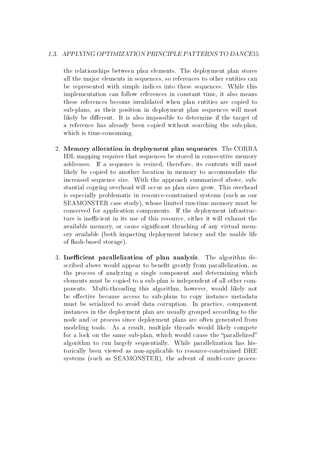the relationships between plan elements. The deployment plan stores all the major elements in sequences, so references to other entities can be represented with simple indices into these sequences. While this implementation can follow references in constant time, it also means these references become invalidated when plan entities are copied to sub-plans, as their position in deployment plan sequences will most likely be different. It is also impossible to determine if the target of a reference has already been copied without searching the sub-plan, which is time-consuming.

- 2. Memory allocation in deployment plan sequences. The CORBA IDL mapping requires that sequences be stored in consecutive memory addresses. If a sequence is resized, therefore, its contents will most likely be copied to another location in memory to accommodate the increased sequence size. With the approach summarized above, substantial copying overhead will occur as plan sizes grow. This overhead is especially problematic in resource-constrained systems (such as our SEAMONSTER case study), whose limited run-time memory must be conserved for application components. If the deployment infrastructure is inefficient in its use of this resource, either it will exhaust the available memory, or cause significant thrashing of any virtual memory available (both impacting deployment latency and the usable life of flash-based storage).
- 3. Inefficient parallelization of plan analysis. The algorithm described above would appear to benefit greatly from parallelization, as the process of analyzing a single component and determining which elements must be copied to a sub-plan is independent of all other components. Multi-threading this algorithm, however, would likely not be effective because access to sub-plans to copy instance metadata must be serialized to avoid data corruption. In practice, component instances in the deployment plan are usually grouped according to the node and/or process since deployment plans are often generated from modeling tools. As a result, multiple threads would likely compete for a lock on the same sub-plan, which would cause the "parallelized" algorithm to run largely sequentially. While parallelization has historically been viewed as non-applicable to resource-constrained DRE systems (such as SEAMONSTER), the advent of multi-core proces-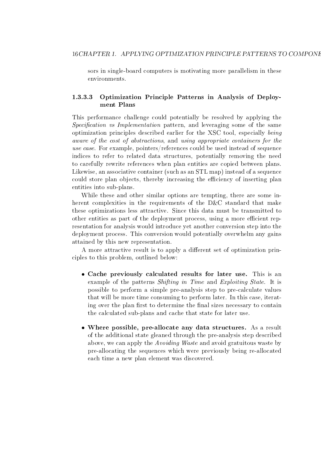sors in single-board computers is motivating more parallelism in these environments.

## 1.3.3.3 Optimization Principle Patterns in Analysis of Deployment Plans

This performance challenge could potentially be resolved by applying the Specification vs Implementation pattern, and leveraging some of the same optimization principles described earlier for the XSC tool, especially being aware of the cost of abstractions, and using appropriate containers for the use case. For example, pointers/references could be used instead of sequence indices to refer to related data structures, potentially removing the need to carefully rewrite references when plan entities are copied between plans. Likewise, an associative container (such as an STL map) instead of a sequence could store plan objects, thereby increasing the efficiency of inserting plan entities into sub-plans.

While these and other similar options are tempting, there are some inherent complexities in the requirements of the D&C standard that make these optimizations less attractive. Since this data must be transmitted to other entities as part of the deployment process, using a more efficient representation for analysis would introduce yet another conversion step into the deployment process. This conversion would potentially overwhelm any gains attained by this new representation.

A more attractive result is to apply a different set of optimization principles to this problem, outlined below:

- *•* Cache previously calculated results for later use. This is an example of the patterns Shifting in Time and Exploiting State. It is possible to perform a simple pre-analysis step to pre-calculate values that will be more time consuming to perform later. In this case, iterating over the plan first to determine the final sizes necessary to contain the calculated sub-plans and cache that state for later use.
- Where possible, pre-allocate any data structures. As a result of the additional state gleaned through the pre-analysis step described above, we can apply the Avoiding Waste and avoid gratuitous waste by pre-allocating the sequences which were previously being re-allocated each time a new plan element was discovered.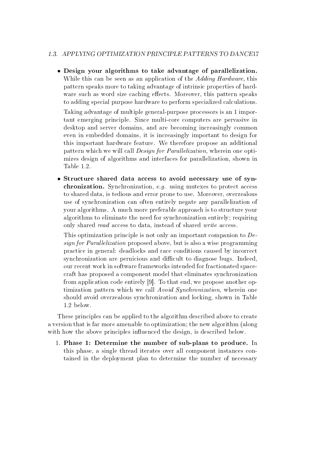## 1.3. APPLYING OPTIMIZATION PRINCIPLE PATTERNS TO DANCE17

*•* Design your algorithms to take advantage of parallelization. While this can be seen as an application of the *Adding Hardware*, this pattern speaks more to taking advantage of intrinsic properties of hardware such as word size caching effects. Moreover, this pattern speaks to adding special purpose hardware to perform specialized calculations.

Taking advantage of multiple general-purpose processors is an 1 important emerging principle. Since multi-core computers are pervasive in desktop and server domains, and are becoming increasingly common even in embedded domains, it is increasingly important to design for this important hardware feature. We therefore propose an additional pattern which we will call Design for Parallelization, wherein one optimizes design of algorithms and interfaces for parallelization, shown in Table 1.2.

*•* Structure shared data access to avoid necessary use of synchronization. Synchronization, e.g. using mutexes to protect access to shared data, is tedious and error prone to use. Moreover, overzealous use of synchronization can often entirely negate any parallelization of your algorithms. A much more preferable approach is to structure your algorithms to eliminate the need for synchronization entirely; requiring only shared read access to data, instead of shared write access.

This optimization principle is not only an important companion to Design for Parallelization proposed above, but is also a wise programming practice in general: deadlocks and race conditions caused by incorrect synchronization are pernicious and difficult to diagnose bugs. Indeed, our recent work in software frameworks intended for fractionated spacecraft has proposed a component model that eliminates synchronization from application code entirely [9]. To that end, we propose another optimization pattern which we call *Avoid Synchronization*, wherein one should avoid overzealous synchronization and locking, shown in Table 1.2 below.

These principles can be applied to the algorithm described above to create a version that is far more amenable to optimization; the new algorithm (along with how the above principles influenced the design, is described below.

1. Phase 1: Determine the number of sub-plans to produce. In this phase, a single thread iterates over all component instances contained in the deployment plan to determine the number of necessary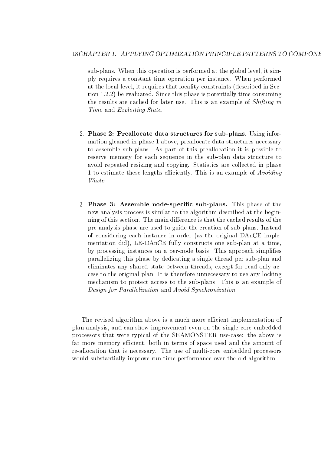sub-plans. When this operation is performed at the global level, it simply requires a constant time operation per instance. When performed at the local level, it requires that locality constraints (described in Section 1.2.2) be evaluated. Since this phase is potentially time consuming the results are cached for later use. This is an example of Shifting in Time and Exploiting State.

- 2. Phase 2: Preallocate data structures for sub-plans. Using information gleaned in phase 1 above, preallocate data structures necessary to assemble sub-plans. As part of this preallocation it is possible to reserve memory for each sequence in the sub-plan data structure to avoid repeated resizing and copying. Statistics are collected in phase 1 to estimate these lengths efficiently. This is an example of  $Avoiding$ Waste
- 3. Phase 3: Assemble node-specific sub-plans. This phase of the new analysis process is similar to the algorithm described at the beginning of this section. The main difference is that the cached results of the pre-analysis phase are used to guide the creation of sub-plans. Instead of considering each instance in order (as the original DAnCE implementation did), LE-DAnCE fully constructs one sub-plan at a time, by processing instances on a per-node basis. This approach simplies parallelizing this phase by dedicating a single thread per sub-plan and eliminates any shared state between threads, except for read-only access to the original plan. It is therefore unnecessary to use any locking mechanism to protect access to the sub-plans. This is an example of Design for Parallelization and Avoid Synchronization.

The revised algorithm above is a much more efficient implementation of plan analysis, and can show improvement even on the single-core embedded processors that were typical of the SEAMONSTER use-case: the above is far more memory efficient, both in terms of space used and the amount of re-allocation that is necessary. The use of multi-core embedded processors would substantially improve run-time performance over the old algorithm.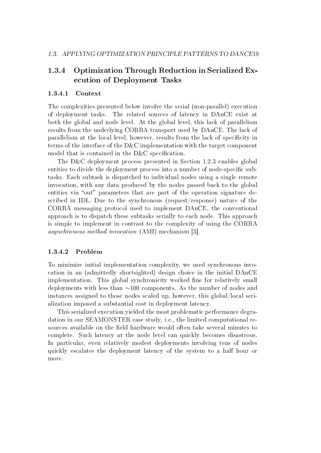## 1.3.4 Optimization Through Reduction in Serialized Execution of Deployment Tasks

### 1.3.4.1 Context

The complexities presented below involve the serial (non-parallel) execution of deployment tasks. The related sources of latency in DAnCE exist at both the global and node level. At the global level, this lack of parallelism results from the underlying CORBA transport used by DAnCE. The lack of parallelism at the local level, however, results from the lack of specificity in terms of the interface of the D&C implementation with the target component model that is contained in the  $D&C$  specification.

The D&C deployment process presented in Section 1.2.3 enables global entities to divide the deployment process into a number of node-specific subtasks. Each subtask is dispatched to individual nodes using a single remote invocation, with any data produced by the nodes passed back to the global entities via "out" parameters that are part of the operation signature described in IDL. Due to the synchronous (request/response) nature of the CORBA messaging protocol used to implement DAnCE, the conventional approach is to dispatch these subtasks serially to each node. This approach is simple to implement in contrast to the complexity of using the CORBA asynchronous method invocation (AMI) mechanism [3].

#### 1.3.4.2 Problem

To minimize initial implementation complexity, we used synchronous invocation in an (admittedly shortsighted) design choice in the initial DAnCE implementation. This global synchronicity worked fine for relatively small deployments with less than *∼*100 components. As the number of nodes and instances assigned to those nodes scaled up, however, this global/local serialization imposed a substantial cost in deployment latency.

This serialized execution yielded the most problematic performance degradation in our SEAMONSTER case study, i.e., the limited computational resources available on the field hardware would often take several minutes to complete. Such latency at the node level can quickly becomes disastrous. In particular, even relatively modest deployments involving tens of nodes quickly escalates the deployment latency of the system to a half hour or more.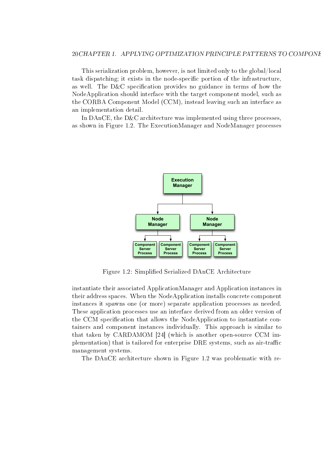This serialization problem, however, is not limited only to the global/local task dispatching; it exists in the node-specific portion of the infrastructure, as well. The D&C specification provides no guidance in terms of how the NodeApplication should interface with the target component model, such as the CORBA Component Model (CCM), instead leaving such an interface as an implementation detail.

In DAnCE, the D&C architecture was implemented using three processes, as shown in Figure 1.2. The ExecutionManager and NodeManager processes



Figure 1.2: Simplied Serialized DAnCE Architecture

instantiate their associated ApplicationManager and Application instances in their address spaces. When the NodeApplication installs concrete component instances it spawns one (or more) separate application processes as needed. These application processes use an interface derived from an older version of the CCM specification that allows the NodeApplication to instantiate containers and component instances individually. This approach is similar to that taken by CARDAMOM [24] (which is another open-source CCM implementation) that is tailored for enterprise DRE systems, such as air-traffic management systems.

The DAnCE architecture shown in Figure 1.2 was problematic with re-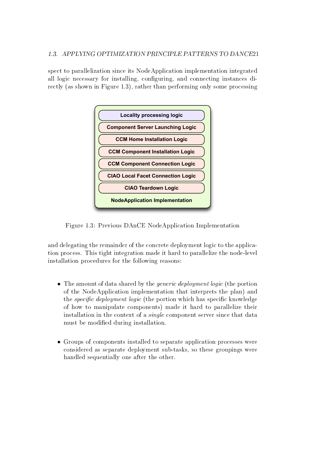spect to parallelization since its NodeApplication implementation integrated all logic necessary for installing, configuring, and connecting instances directly (as shown in Figure 1.3), rather than performing only some processing



Figure 1.3: Previous DAnCE NodeApplication Implementation

and delegating the remainder of the concrete deployment logic to the application process. This tight integration made it hard to parallelize the node-level installation procedures for the following reasons:

- The amount of data shared by the *generic deployment logic* (the portion of the NodeApplication implementation that interprets the plan) and the *specific deployment logic* (the portion which has specific knowledge of how to manipulate components) made it hard to parallelize their installation in the context of a single component server since that data must be modified during installation.
- *•* Groups of components installed to separate application processes were considered as separate deployment sub-tasks, so these groupings were handled sequentially one after the other.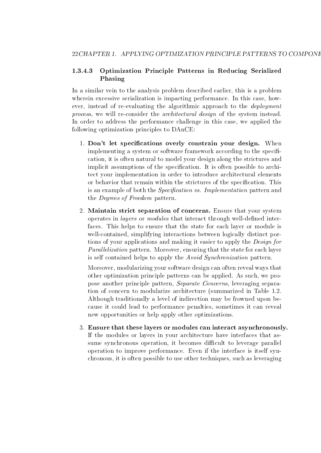## 1.3.4.3 Optimization Principle Patterns in Reducing Serialized Phasing

In a similar vein to the analysis problem described earlier, this is a problem wherein excessive serialization is impacting performance. In this case, however, instead of re-evaluating the algorithmic approach to the deployment process, we will re-consider the architectural design of the system instead. In order to address the performance challenge in this case, we applied the following optimization principles to DAnCE:

- 1. Don't let specifications overly constrain your design. When implementing a system or software framework according to the specification, it is often natural to model your design along the strictures and implicit assumptions of the specification. It is often possible to architect your implementation in order to introduce architectural elements or behavior that remain within the strictures of the specification. This is an example of both the *Specification vs. Implementation* pattern and the Degrees of Freedom pattern.
- 2. Maintain strict separation of concerns. Ensure that your system operates in *layers* or *modules* that interact through well-defined interfaces. This helps to ensure that the state for each layer or module is well-contained, simplifying interactions between logically distinct portions of your applications and making it easier to apply the Design for Parallelization pattern. Moreover, ensuring that the state for each layer is self contained helps to apply the Avoid Synchronization pattern.

Moreover, modularizing your software design can often reveal ways that other optimization principle patterns can be applied. As such, we propose another principle pattern, Separate Concerns, leveraging separation of concern to modularize architecture (summarized in Table 1.2. Although traditionally a level of indirection may be frowned upon because it could lead to performance penalties, sometimes it can reveal new opportunities or help apply other optimizations.

3. Ensure that these layers or modules can interact asynchronously. If the modules or layers in your architecture have interfaces that assume synchronous operation, it becomes difficult to leverage parallel operation to improve performance. Even if the interface is itself synchronous, it is often possible to use other techniques, such as leveraging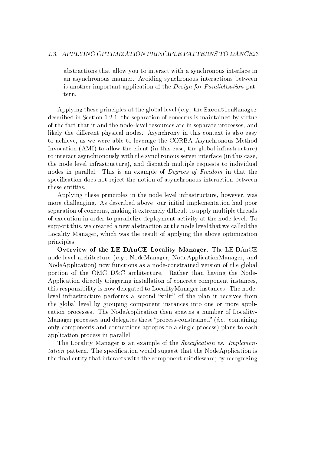#### 1.3. APPLYING OPTIMIZATION PRINCIPLE PATTERNS TO DANCE23

abstractions that allow you to interact with a synchronous interface in an asynchronous manner. Avoiding synchronous interactions between is another important application of the Design for Parallelization pattern.

Applying these principles at the global level  $(e,q)$ , the ExecutionManager described in Section 1.2.1; the separation of concerns is maintained by virtue of the fact that it and the node-level resources are in separate processes, and likely the different physical nodes. Asynchrony in this context is also easy to achieve, as we were able to leverage the CORBA Asynchronous Method Invocation (AMI) to allow the client (in this case, the global infrastructure) to interact asynchronously with the synchronous server interface (in this case, the node level infrastructure), and dispatch multiple requests to individual nodes in parallel. This is an example of Degrees of Freedom in that the specification does not reject the notion of asynchronous interaction between these entities.

Applying these principles in the node level infrastructure, however, was more challenging. As described above, our initial implementation had poor separation of concerns, making it extremely difficult to apply multiple threads of execution in order to parallelize deployment activity at the node level. To support this, we created a new abstraction at the node level that we called the Locality Manager, which was the result of applying the above optimization principles.

Overview of the LE-DAnCE Locality Manager. The LE-DAnCE node-level architecture (e.g., NodeManager, NodeApplicationManager, and NodeApplication) now functions as a node-constrained version of the global portion of the OMG D&C architecture. Rather than having the Node-Application directly triggering installation of concrete component instances, this responsibility is now delegated to LocalityManager instances. The nodelevel infrastructure performs a second "split" of the plan it receives from the global level by grouping component instances into one or more application processes. The NodeApplication then spawns a number of Locality-Manager processes and delegates these "process-constrained"  $(i.e., containing)$ only components and connections apropos to a single process) plans to each application process in parallel.

The Locality Manager is an example of the *Specification vs. Implemen*tation pattern. The specification would suggest that the NodeApplication is the final entity that interacts with the component middleware; by recognizing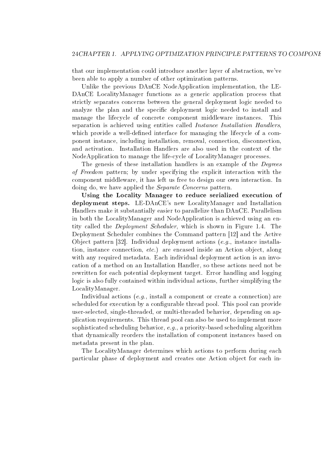that our implementation could introduce another layer of abstraction, we've been able to apply a number of other optimization patterns.

Unlike the previous DAnCE NodeApplication implementation, the LE-DAnCE LocalityManager functions as a generic application process that strictly separates concerns between the general deployment logic needed to analyze the plan and the specific deployment logic needed to install and manage the lifecycle of concrete component middleware instances. This separation is achieved using entities called Instance Installation Handlers, which provide a well-defined interface for managing the lifecycle of a component instance, including installation, removal, connection, disconnection, and activation. Installation Handlers are also used in the context of the NodeApplication to manage the life-cycle of LocalityManager processes.

The genesis of these installation handlers is an example of the *Degrees* of Freedom pattern; by under specifying the explicit interaction with the component middleware, it has left us free to design our own interaction. In doing do, we have applied the Separate Concerns pattern.

Using the Locality Manager to reduce serialized execution of deployment steps. LE-DAnCE's new LocalityManager and Installation Handlers make it substantially easier to parallelize than DAnCE. Parallelism in both the LocalityManager and NodeApplication is achieved using an entity called the Deployment Scheduler, which is shown in Figure 1.4. The Deployment Scheduler combines the Command pattern [12] and the Active Object pattern [32]. Individual deployment actions  $(e.g.,$  instance installation, instance connection, etc.) are encased inside an Action object, along with any required metadata. Each individual deployment action is an invocation of a method on an Installation Handler, so these actions need not be rewritten for each potential deployment target. Error handling and logging logic is also fully contained within individual actions, further simplifying the LocalityManager.

Individual actions (e.g., install a component or create a connection) are scheduled for execution by a configurable thread pool. This pool can provide user-selected, single-threaded, or multi-threaded behavior, depending on application requirements. This thread pool can also be used to implement more sophisticated scheduling behavior, e.g., a priority-based scheduling algorithm that dynamically reorders the installation of component instances based on metadata present in the plan.

The LocalityManager determines which actions to perform during each particular phase of deployment and creates one Action object for each in-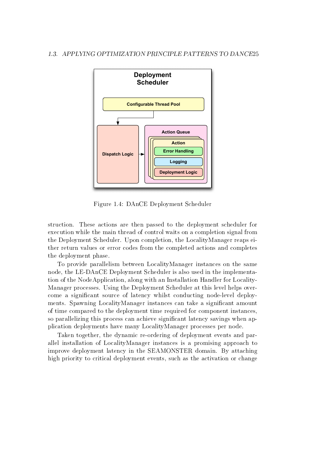#### 1.3. APPLYING OPTIMIZATION PRINCIPLE PATTERNS TO DANCE25



Figure 1.4: DAnCE Deployment Scheduler

struction. These actions are then passed to the deployment scheduler for execution while the main thread of control waits on a completion signal from the Deployment Scheduler. Upon completion, the LocalityManager reaps either return values or error codes from the completed actions and completes the deployment phase.

To provide parallelism between LocalityManager instances on the same node, the LE-DAnCE Deployment Scheduler is also used in the implementation of the NodeApplication, along with an Installation Handler for Locality-Manager processes. Using the Deployment Scheduler at this level helps overcome a significant source of latency whilst conducting node-level deployments. Spawning LocalityManager instances can take a signicant amount of time compared to the deployment time required for component instances, so parallelizing this process can achieve significant latency savings when application deployments have many LocalityManager processes per node.

Taken together, the dynamic re-ordering of deployment events and parallel installation of LocalityManager instances is a promising approach to improve deployment latency in the SEAMONSTER domain. By attaching high priority to critical deployment events, such as the activation or change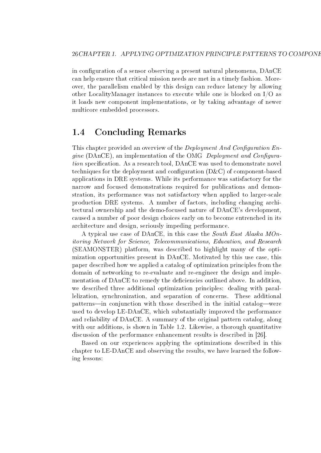in configuration of a sensor observing a present natural phenomena,  $DAnCE$ can help ensure that critical mission needs are met in a timely fashion. Moreover, the parallelism enabled by this design can reduce latency by allowing other LocalityManager instances to execute while one is blocked on I/O as it loads new component implementations, or by taking advantage of newer multicore embedded processors.

## 1.4 Concluding Remarks

This chapter provided an overview of the *Deployment And Configuration En*qine (DAnCE), an implementation of the OMG Deployment and Configuration specification. As a research tool, DAnCE was used to demonstrate novel techniques for the deployment and configuration  $(D\&C)$  of component-based applications in DRE systems. While its performance was satisfactory for the narrow and focused demonstrations required for publications and demonstration, its performance was not satisfactory when applied to larger-scale production DRE systems. A number of factors, including changing architectural ownership and the demo-focused nature of DAnCE's development, caused a number of poor design choices early on to become entrenched in its architecture and design, seriously impeding performance.

A typical use case of DAnCE, in this case the South East Alaska MOnitoring Network for Science, Telecommunications, Education, and Research (SEAMONSTER) platform, was described to highlight many of the optimization opportunities present in DAnCE. Motivated by this use case, this paper described how we applied a catalog of optimization principles from the domain of networking to re-evaluate and re-engineer the design and implementation of DAnCE to remedy the deficiencies outlined above. In addition, we described three additional optimization principles: dealing with parallelization, synchronization, and separation of concerns. These additional patterns—in conjunction with those described in the initial catalog—were used to develop LE-DAnCE, which substantially improved the performance and reliability of DAnCE. A summary of the original pattern catalog, along with our additions, is shown in Table 1.2. Likewise, a thorough quantitative discussion of the performance enhancement results is described in [26].

Based on our experiences applying the optimizations described in this chapter to LE-DAnCE and observing the results, we have learned the following lessons: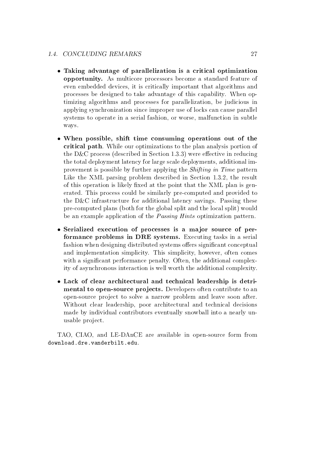#### 1.4. CONCLUDING REMARKS 27

- *•* Taking advantage of parallelization is a critical optimization opportunity. As multicore processors become a standard feature of even embedded devices, it is critically important that algorithms and processes be designed to take advantage of this capability. When optimizing algorithms and processes for parallelization, be judicious in applying synchronization since improper use of locks can cause parallel systems to operate in a serial fashion, or worse, malfunction in subtle ways.
- *•* When possible, shift time consuming operations out of the critical path. While our optimizations to the plan analysis portion of the D&C process (described in Section 1.3.3) were effective in reducing the total deployment latency for large scale deployments, additional improvement is possible by further applying the Shifting in Time pattern Like the XML parsing problem described in Section 1.3.2, the result of this operation is likely fixed at the point that the XML plan is generated. This process could be similarly pre-computed and provided to the D&C infrastructure for additional latency savings. Passing these pre-computed plans (both for the global split and the local split) would be an example application of the Passing Hints optimization pattern.
- *•* Serialized execution of processes is a major source of performance problems in DRE systems. Executing tasks in a serial fashion when designing distributed systems offers significant conceptual and implementation simplicity. This simplicity, however, often comes with a significant performance penalty. Often, the additional complexity of asynchronous interaction is well worth the additional complexity.
- *•* Lack of clear architectural and technical leadership is detrimental to open-source projects. Developers often contribute to an open-source project to solve a narrow problem and leave soon after. Without clear leadership, poor architectural and technical decisions made by individual contributors eventually snowball into a nearly unusable project.

TAO, CIAO, and LE-DAnCE are available in open-source form from download.dre.vanderbilt.edu.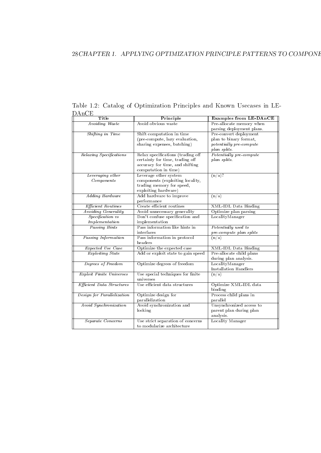| Title                      | Principle                          | <b>Examples from LE-DAnCE</b> |
|----------------------------|------------------------------------|-------------------------------|
| Avoiding Waste             | Avoid obvious waste                | Pre-allocate memory when      |
|                            |                                    | parsing deployment plans.     |
| Shifting in Time           | Shift computation in time          | Pre-convert deployment        |
|                            | (pre-compute, lazy evaluation,     | plan to binary format,        |
|                            | sharing expenses, batching)        | potentially pre-compute       |
|                            |                                    | $plan$ splits.                |
| Relaxing Specifications    | Relax specifications (trading off  | Potentially pre-compute       |
|                            | certainty for time, trading off    | $plan$ splits.                |
|                            | accuracy for time, and shifting    |                               |
|                            | computation in time)               |                               |
| Leveraging other           | Leverage other system              | (n/a)?                        |
| Components                 | components (exploiting locality,   |                               |
|                            | trading memory for speed,          |                               |
|                            | exploiting hardware)               |                               |
| Adding Hardware            | Add hardware to improve            | (n/a)                         |
|                            | performance                        |                               |
| <b>Efficient Routines</b>  | Create efficient routines          | XML-IDL Data Binding          |
| Avoiding Generality        | Avoid unnecessary generality       | Optimize plan parsing         |
| $Specification$ vs         | Don't confuse specification and    | LocalityManager               |
| Implementation             | implementation                     |                               |
| Passing Hints              | Pass information like hints in     | Potentially used to           |
|                            | interfaces                         | $pre-compute$ plan splits     |
| Passing Information        | Pass information in protocol       | (n/a)                         |
|                            | headers                            |                               |
| Expected Use Case          | Optimize the expected case         | XML-IDL Data Binding          |
| <i>Exploiting State</i>    | Add or exploit state to gain speed | Pre-allocate child plans      |
|                            |                                    | during plan analysis.         |
| Degrees of Freedom         | Optimize degrees of freedom        | LocalityManager               |
|                            |                                    | Installation Handlers         |
| Exploit Finite Universes   | Use special techniques for finite  | (n/a)                         |
|                            | universes                          |                               |
| Efficient Data Structures  | Use efficient data structures      | Optimize XML-IDL data         |
|                            |                                    | binding                       |
| Design for Parallelization | Optimize design for                | Process child plans in        |
|                            | parallelization                    | parallel                      |
| Avoid Synchronization      | Avoid synchronization and          | Unsynchronized access to      |
|                            | locking                            | parent plan during plan       |
|                            |                                    | analysis.                     |
| Separate Concerns          | Use strict separation of concerns  | Locality Manager              |
|                            | to modularize architecture         |                               |

Table 1.2: Catalog of Optimization Principles and Known Usecases in LE-DAnCE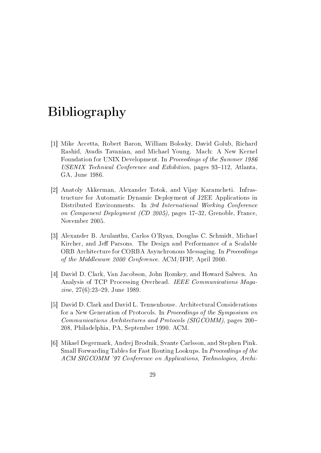# Bibliography

- [1] Mike Accetta, Robert Baron, William Bolosky, David Golub, Richard Rashid, Avadis Tavanian, and Michael Young. Mach: A New Kernel Foundation for UNIX Development. In Proceedings of the Summer 1986  $USENIX$  Technical Conference and Exhibition, pages 93–112, Atlanta, GA, June 1986.
- [2] Anatoly Akkerman, Alexander Totok, and Vijay Karamcheti. Infrastructure for Automatic Dynamic Deployment of J2EE Applications in Distributed Environments. In 3rd International Working Conference on Component Deployment (CD 2005), pages  $17-32$ , Grenoble, France, November 2005.
- [3] Alexander B. Arulanthu, Carlos O'Ryan, Douglas C. Schmidt, Michael Kircher, and Jeff Parsons. The Design and Performance of a Scalable ORB Architecture for CORBA Asynchronous Messaging. In Proceedings of the Middleware 2000 Conference. ACM/IFIP, April 2000.
- [4] David D. Clark, Van Jacobson, John Romkey, and Howard Salwen. An Analysis of TCP Processing Overhead. IEEE Communications Maga $zine, 27(6):23-29$ , June 1989.
- [5] David D. Clark and David L. Tennenhouse. Architectural Considerations for a New Generation of Protocols. In Proceedings of the Symposium on Communications Architectures and Protocols (SIGCOMM), pages 200 208, Philadelphia, PA, September 1990. ACM.
- [6] Mikael Degermark, Andrej Brodnik, Svante Carlsson, and Stephen Pink. Small Forwarding Tables for Fast Routing Lookups. In Proceedings of the ACM SIGCOMM '97 Conference on Applications, Technologies, Archi-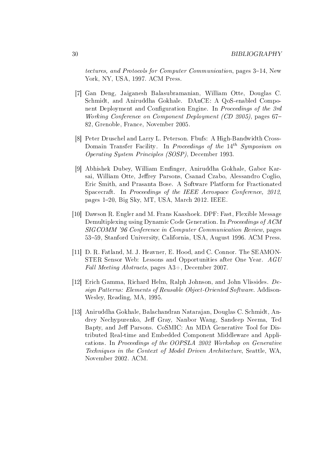tectures, and Protocols for Computer Communication, pages 3–14, New York, NY, USA, 1997. ACM Press.

- [7] Gan Deng, Jaiganesh Balasubramanian, William Otte, Douglas C. Schmidt, and Aniruddha Gokhale. DAnCE: A QoS-enabled Component Deployment and Configuration Engine. In Proceedings of the 3rd Working Conference on Component Deployment (CD 2005), pages 67 82, Grenoble, France, November 2005.
- [8] Peter Druschel and Larry L. Peterson. Fbufs: A High-Bandwidth Cross-Domain Transfer Facility. In Proceedings of the 14*th* Symposium on Operating System Principles (SOSP), December 1993.
- [9] Abhishek Dubey, William Emfinger, Aniruddha Gokhale, Gabor Karsai, William Otte, Jeffrey Parsons, Csanad Czabo, Alessandro Coglio, Eric Smith, and Prasanta Bose. A Software Platform for Fractionated Spacecraft. In Proceedings of the IEEE Aerospace Conference, 2012. pages 120, Big Sky, MT, USA, March 2012. IEEE.
- [10] Dawson R. Engler and M. Frans Kaashoek. DPF: Fast, Flexible Message Demultiplexing using Dynamic Code Generation. In Proceedings of ACM SIGCOMM '96 Conference in Computer Communication Review, pages 53–59, Stanford University, California, USA, August 1996. ACM Press.
- [11] D. R. Fatland, M. J. Heavner, E. Hood, and C. Connor. The SEAMON-STER Sensor Web: Lessons and Opportunities after One Year. AGU Fall Meeting Abstracts, pages A3+, December 2007.
- [12] Erich Gamma, Richard Helm, Ralph Johnson, and John Vlissides. Design Patterns: Elements of Reusable Object-Oriented Software. Addison-Wesley, Reading, MA, 1995.
- [13] Aniruddha Gokhale, Balachandran Natarajan, Douglas C. Schmidt, Andrey Nechypurenko, Jeff Gray, Nanbor Wang, Sandeep Neema, Ted Bapty, and Jeff Parsons. CoSMIC: An MDA Generative Tool for Distributed Real-time and Embedded Component Middleware and Applications. In Proceedings of the OOPSLA 2002 Workshop on Generative Techniques in the Context of Model Driven Architecture, Seattle, WA, November 2002. ACM.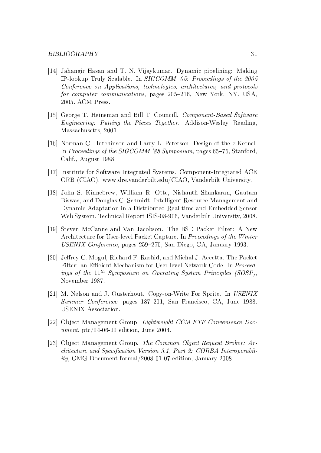- [14] Jahangir Hasan and T. N. Vijaykumar. Dynamic pipelining: Making IP-lookup Truly Scalable. In SIGCOMM '05: Proceedings of the 2005 Conference on Applications, technologies, architectures, and protocols for computer communications, pages 205-216, New York, NY, USA. 2005. ACM Press.
- [15] George T. Heineman and Bill T. Councill. Component-Based Software Engineering: Putting the Pieces Together. Addison-Wesley, Reading, Massachusetts, 2001.
- [16] Norman C. Hutchinson and Larry L. Peterson. Design of the x-Kernel. In Proceedings of the SIGCOMM '88 Symposium, pages 65–75, Stanford, Calif., August 1988.
- [17] Institute for Software Integrated Systems. Component-Integrated ACE ORB (CIAO). www.dre.vanderbilt.edu/CIAO, Vanderbilt University.
- [18] John S. Kinnebrew, William R. Otte, Nishanth Shankaran, Gautam Biswas, and Douglas C. Schmidt. Intelligent Resource Management and Dynamic Adaptation in a Distributed Real-time and Embedded Sensor Web System. Technical Report ISIS-08-906, Vanderbilt University, 2008.
- [19] Steven McCanne and Van Jacobson. The BSD Packet Filter: A New Architecture for User-level Packet Capture. In Proceedings of the Winter USENIX Conference, pages 259–270, San Diego, CA, January 1993.
- [20] Jeffrey C. Mogul, Richard F. Rashid, and Michal J. Accetta. The Packet Filter: an Efficient Mechanism for User-level Network Code. In Proceedings of the 11*th* Symposium on Operating System Principles (SOSP), November 1987.
- [21] M. Nelson and J. Ousterhout. Copy-on-Write For Sprite. In USENIX Summer Conference, pages 187–201, San Francisco, CA, June 1988. USENIX Association.
- [22] Object Management Group. Lightweight CCM FTF Convenience Document, ptc/04-06-10 edition, June 2004.
- [23] Object Management Group. The Common Object Request Broker: Ar $chitecture and Specification Version 3.1, Part 2: CORBA Interoperabil$ ity, OMG Document formal/2008-01-07 edition, January 2008.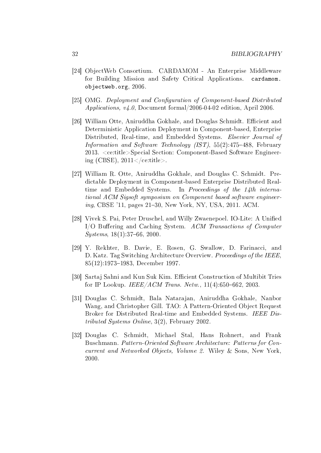- [24] ObjectWeb Consortium. CARDAMOM An Enterprise Middleware for Building Mission and Safety Critical Applications. cardamom. objectweb.org, 2006.
- [25] OMG. Deployment and Configuration of Component-based Distributed *Applications, v4.0,* Document formal/2006-04-02 edition, April 2006.
- [26] William Otte, Aniruddha Gokhale, and Douglas Schmidt. Efficient and Deterministic Application Deployment in Component-based, Enterprise Distributed, Real-time, and Embedded Systems. Elsevier Journal of Information and Software Technology (IST),  $55(2):475-488$ , February 2013. <ce:title>Special Section: Component-Based Software Engineering (CBSE),  $2011$  </ce:title>.
- [27] William R. Otte, Aniruddha Gokhale, and Douglas C. Schmidt. Predictable Deployment in Component-based Enterprise Distributed Realtime and Embedded Systems. In Proceedings of the 14th international ACM Sigsoft symposium on Component based software engineering, CBSE '11, pages 21–30, New York, NY, USA, 2011. ACM.
- [28] Vivek S. Pai, Peter Druschel, and Willy Zwaenepoel. IO-Lite: A Unified  $I/O$  Buffering and Caching System. ACM Transactions of Computer  $Systems, 18(1):37–66, 2000.$
- [29] Y. Rekhter, B. Davie, E. Rosen, G. Swallow, D. Farinacci, and D. Katz. Tag Switching Architecture Overview. Proceedings of the IEEE, 85(12):1973-1983, December 1997.
- [30] Sartaj Sahni and Kun Suk Kim. Efficient Construction of Multibit Tries for IP Lookup. IEEE/ACM Trans. Netw.,  $11(4):650-662$ , 2003.
- [31] Douglas C. Schmidt, Bala Natarajan, Aniruddha Gokhale, Nanbor Wang, and Christopher Gill. TAO: A Pattern-Oriented Object Request Broker for Distributed Real-time and Embedded Systems. IEEE Distributed Systems Online, 3(2), February 2002.
- [32] Douglas C. Schmidt, Michael Stal, Hans Rohnert, and Frank Buschmann. Pattern-Oriented Software Architecture: Patterns for Concurrent and Networked Objects, Volume 2. Wiley & Sons, New York, 2000.